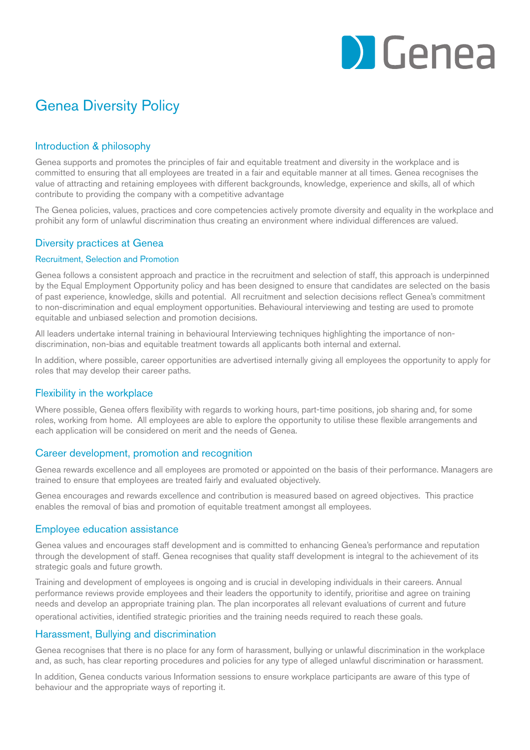

# Genea Diversity Policy

## Introduction & philosophy

Genea supports and promotes the principles of fair and equitable treatment and diversity in the workplace and is committed to ensuring that all employees are treated in a fair and equitable manner at all times. Genea recognises the value of attracting and retaining employees with different backgrounds, knowledge, experience and skills, all of which contribute to providing the company with a competitive advantage

The Genea policies, values, practices and core competencies actively promote diversity and equality in the workplace and prohibit any form of unlawful discrimination thus creating an environment where individual differences are valued.

# Diversity practices at Genea

## Recruitment, Selection and Promotion

Genea follows a consistent approach and practice in the recruitment and selection of staff, this approach is underpinned by the Equal Employment Opportunity policy and has been designed to ensure that candidates are selected on the basis of past experience, knowledge, skills and potential. All recruitment and selection decisions reflect Genea's commitment to non-discrimination and equal employment opportunities. Behavioural interviewing and testing are used to promote equitable and unbiased selection and promotion decisions.

All leaders undertake internal training in behavioural Interviewing techniques highlighting the importance of nondiscrimination, non-bias and equitable treatment towards all applicants both internal and external.

In addition, where possible, career opportunities are advertised internally giving all employees the opportunity to apply for roles that may develop their career paths.

## Flexibility in the workplace

Where possible, Genea offers flexibility with regards to working hours, part-time positions, job sharing and, for some roles, working from home. All employees are able to explore the opportunity to utilise these flexible arrangements and each application will be considered on merit and the needs of Genea.

## Career development, promotion and recognition

Genea rewards excellence and all employees are promoted or appointed on the basis of their performance. Managers are trained to ensure that employees are treated fairly and evaluated objectively.

Genea encourages and rewards excellence and contribution is measured based on agreed objectives. This practice enables the removal of bias and promotion of equitable treatment amongst all employees.

## Employee education assistance

Genea values and encourages staff development and is committed to enhancing Genea's performance and reputation through the development of staff. Genea recognises that quality staff development is integral to the achievement of its strategic goals and future growth.

Training and development of employees is ongoing and is crucial in developing individuals in their careers. Annual performance reviews provide employees and their leaders the opportunity to identify, prioritise and agree on training needs and develop an appropriate training plan. The plan incorporates all relevant evaluations of current and future operational activities, identified strategic priorities and the training needs required to reach these goals.

## Harassment, Bullying and discrimination

Genea recognises that there is no place for any form of harassment, bullying or unlawful discrimination in the workplace and, as such, has clear reporting procedures and policies for any type of alleged unlawful discrimination or harassment.

In addition, Genea conducts various Information sessions to ensure workplace participants are aware of this type of behaviour and the appropriate ways of reporting it.